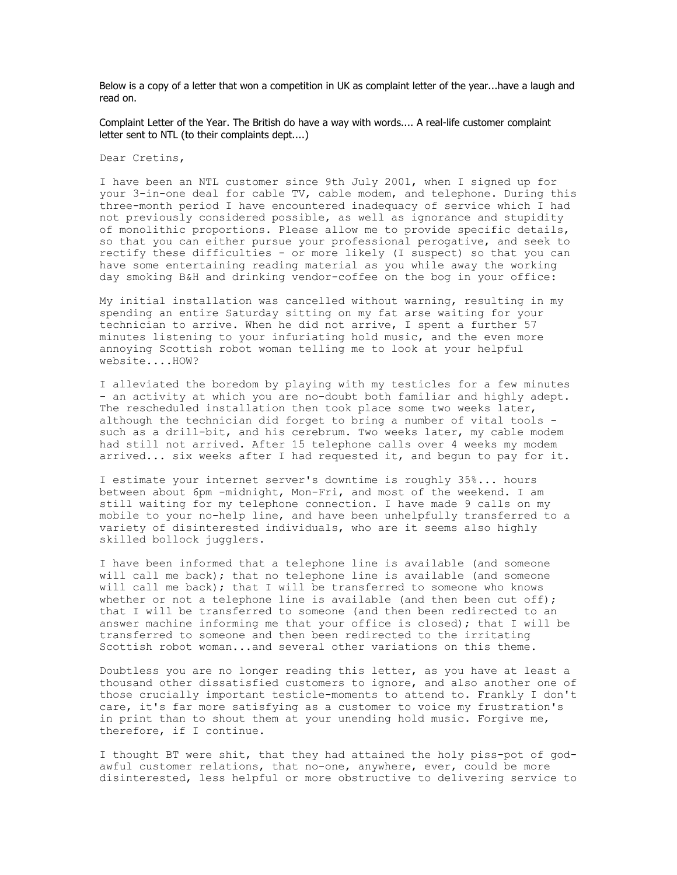Below is a copy of a letter that won a competition in UK as complaint letter of the year...have a laugh and read on.

Complaint Letter of the Year. The British do have a way with words.... A real-life customer complaint letter sent to NTL (to their complaints dept....)

Dear Cretins,

I have been an NTL customer since 9th July 2001, when I signed up for your 3-in-one deal for cable TV, cable modem, and telephone. During this three-month period I have encountered inadequacy of service which I had not previously considered possible, as well as ignorance and stupidity of monolithic proportions. Please allow me to provide specific details, so that you can either pursue your professional perogative, and seek to rectify these difficulties - or more likely (I suspect) so that you can have some entertaining reading material as you while away the working day smoking B&H and drinking vendor-coffee on the bog in your office:

My initial installation was cancelled without warning, resulting in my spending an entire Saturday sitting on my fat arse waiting for your technician to arrive. When he did not arrive, I spent a further 57 minutes listening to your infuriating hold music, and the even more annoying Scottish robot woman telling me to look at your helpful website....HOW?

I alleviated the boredom by playing with my testicles for a few minutes - an activity at which you are no-doubt both familiar and highly adept. The rescheduled installation then took place some two weeks later, although the technician did forget to bring a number of vital tools such as a drill-bit, and his cerebrum. Two weeks later, my cable modem had still not arrived. After 15 telephone calls over 4 weeks my modem arrived... six weeks after I had requested it, and begun to pay for it.

I estimate your internet server's downtime is roughly 35%... hours between about 6pm -midnight, Mon-Fri, and most of the weekend. I am still waiting for my telephone connection. I have made 9 calls on my mobile to your no-help line, and have been unhelpfully transferred to a variety of disinterested individuals, who are it seems also highly skilled bollock jugglers.

I have been informed that a telephone line is available (and someone will call me back); that no telephone line is available (and someone will call me back); that I will be transferred to someone who knows whether or not a telephone line is available (and then been cut off); that I will be transferred to someone (and then been redirected to an answer machine informing me that your office is closed); that I will be transferred to someone and then been redirected to the irritating Scottish robot woman...and several other variations on this theme.

Doubtless you are no longer reading this letter, as you have at least a thousand other dissatisfied customers to ignore, and also another one of those crucially important testicle-moments to attend to. Frankly I don't care, it's far more satisfying as a customer to voice my frustration's in print than to shout them at your unending hold music. Forgive me, therefore, if I continue.

I thought BT were shit, that they had attained the holy piss-pot of godawful customer relations, that no-one, anywhere, ever, could be more disinterested, less helpful or more obstructive to delivering service to